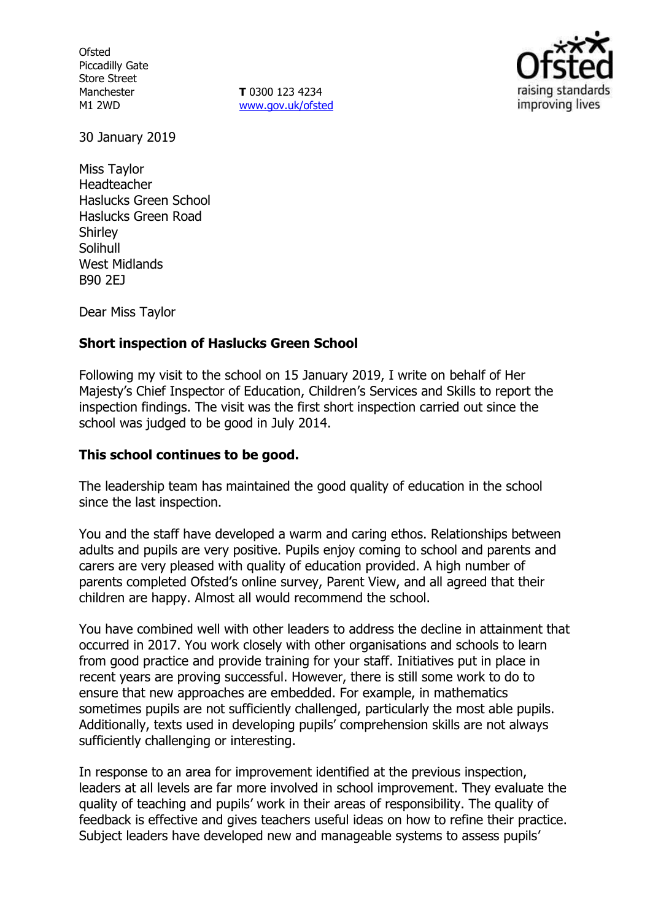**Ofsted** Piccadilly Gate Store Street Manchester M1 2WD

**T** 0300 123 4234 www.gov.uk/ofsted



30 January 2019

Miss Taylor Headteacher Haslucks Green School Haslucks Green Road **Shirley** Solihull West Midlands B90 2EJ

Dear Miss Taylor

## **Short inspection of Haslucks Green School**

Following my visit to the school on 15 January 2019, I write on behalf of Her Majesty's Chief Inspector of Education, Children's Services and Skills to report the inspection findings. The visit was the first short inspection carried out since the school was judged to be good in July 2014.

### **This school continues to be good.**

The leadership team has maintained the good quality of education in the school since the last inspection.

You and the staff have developed a warm and caring ethos. Relationships between adults and pupils are very positive. Pupils enjoy coming to school and parents and carers are very pleased with quality of education provided. A high number of parents completed Ofsted's online survey, Parent View, and all agreed that their children are happy. Almost all would recommend the school.

You have combined well with other leaders to address the decline in attainment that occurred in 2017. You work closely with other organisations and schools to learn from good practice and provide training for your staff. Initiatives put in place in recent years are proving successful. However, there is still some work to do to ensure that new approaches are embedded. For example, in mathematics sometimes pupils are not sufficiently challenged, particularly the most able pupils. Additionally, texts used in developing pupils' comprehension skills are not always sufficiently challenging or interesting.

In response to an area for improvement identified at the previous inspection, leaders at all levels are far more involved in school improvement. They evaluate the quality of teaching and pupils' work in their areas of responsibility. The quality of feedback is effective and gives teachers useful ideas on how to refine their practice. Subject leaders have developed new and manageable systems to assess pupils'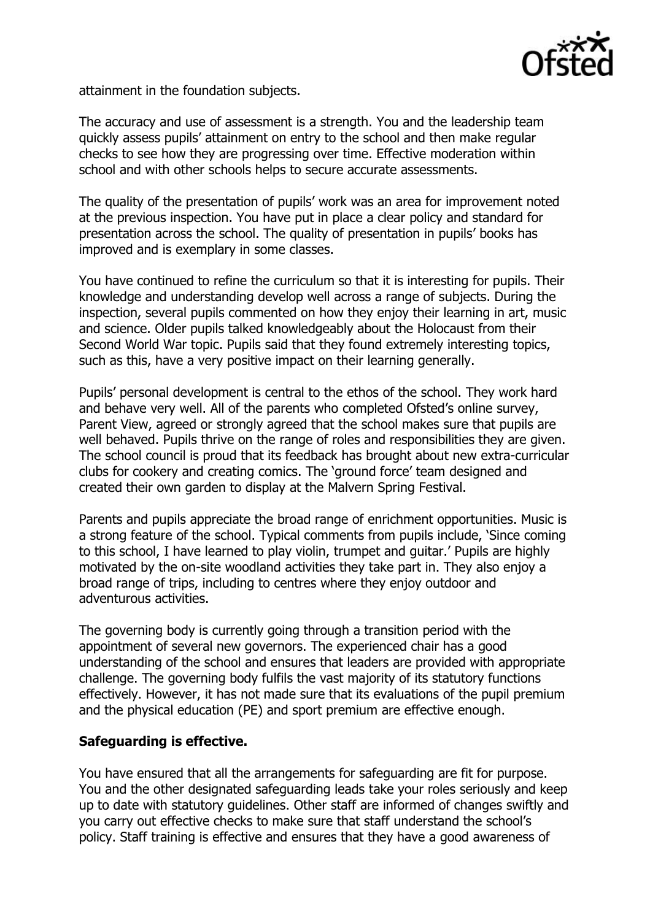

attainment in the foundation subjects.

The accuracy and use of assessment is a strength. You and the leadership team quickly assess pupils' attainment on entry to the school and then make regular checks to see how they are progressing over time. Effective moderation within school and with other schools helps to secure accurate assessments.

The quality of the presentation of pupils' work was an area for improvement noted at the previous inspection. You have put in place a clear policy and standard for presentation across the school. The quality of presentation in pupils' books has improved and is exemplary in some classes.

You have continued to refine the curriculum so that it is interesting for pupils. Their knowledge and understanding develop well across a range of subjects. During the inspection, several pupils commented on how they enjoy their learning in art, music and science. Older pupils talked knowledgeably about the Holocaust from their Second World War topic. Pupils said that they found extremely interesting topics, such as this, have a very positive impact on their learning generally.

Pupils' personal development is central to the ethos of the school. They work hard and behave very well. All of the parents who completed Ofsted's online survey, Parent View, agreed or strongly agreed that the school makes sure that pupils are well behaved. Pupils thrive on the range of roles and responsibilities they are given. The school council is proud that its feedback has brought about new extra-curricular clubs for cookery and creating comics. The 'ground force' team designed and created their own garden to display at the Malvern Spring Festival.

Parents and pupils appreciate the broad range of enrichment opportunities. Music is a strong feature of the school. Typical comments from pupils include, 'Since coming to this school, I have learned to play violin, trumpet and guitar.' Pupils are highly motivated by the on-site woodland activities they take part in. They also enjoy a broad range of trips, including to centres where they enjoy outdoor and adventurous activities.

The governing body is currently going through a transition period with the appointment of several new governors. The experienced chair has a good understanding of the school and ensures that leaders are provided with appropriate challenge. The governing body fulfils the vast majority of its statutory functions effectively. However, it has not made sure that its evaluations of the pupil premium and the physical education (PE) and sport premium are effective enough.

#### **Safeguarding is effective.**

You have ensured that all the arrangements for safeguarding are fit for purpose. You and the other designated safeguarding leads take your roles seriously and keep up to date with statutory guidelines. Other staff are informed of changes swiftly and you carry out effective checks to make sure that staff understand the school's policy. Staff training is effective and ensures that they have a good awareness of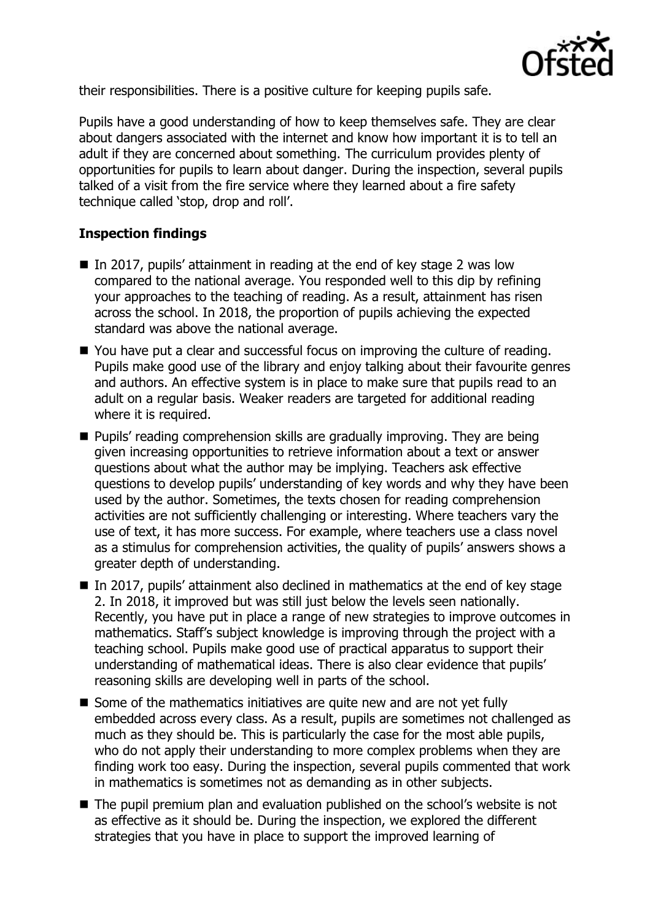

their responsibilities. There is a positive culture for keeping pupils safe.

Pupils have a good understanding of how to keep themselves safe. They are clear about dangers associated with the internet and know how important it is to tell an adult if they are concerned about something. The curriculum provides plenty of opportunities for pupils to learn about danger. During the inspection, several pupils talked of a visit from the fire service where they learned about a fire safety technique called 'stop, drop and roll'.

## **Inspection findings**

- $\blacksquare$  In 2017, pupils' attainment in reading at the end of key stage 2 was low compared to the national average. You responded well to this dip by refining your approaches to the teaching of reading. As a result, attainment has risen across the school. In 2018, the proportion of pupils achieving the expected standard was above the national average.
- You have put a clear and successful focus on improving the culture of reading. Pupils make good use of the library and enjoy talking about their favourite genres and authors. An effective system is in place to make sure that pupils read to an adult on a regular basis. Weaker readers are targeted for additional reading where it is required.
- **Pupils' reading comprehension skills are gradually improving. They are being** given increasing opportunities to retrieve information about a text or answer questions about what the author may be implying. Teachers ask effective questions to develop pupils' understanding of key words and why they have been used by the author. Sometimes, the texts chosen for reading comprehension activities are not sufficiently challenging or interesting. Where teachers vary the use of text, it has more success. For example, where teachers use a class novel as a stimulus for comprehension activities, the quality of pupils' answers shows a greater depth of understanding.
- In 2017, pupils' attainment also declined in mathematics at the end of key stage 2. In 2018, it improved but was still just below the levels seen nationally. Recently, you have put in place a range of new strategies to improve outcomes in mathematics. Staff's subject knowledge is improving through the project with a teaching school. Pupils make good use of practical apparatus to support their understanding of mathematical ideas. There is also clear evidence that pupils' reasoning skills are developing well in parts of the school.
- $\blacksquare$  Some of the mathematics initiatives are quite new and are not yet fully embedded across every class. As a result, pupils are sometimes not challenged as much as they should be. This is particularly the case for the most able pupils, who do not apply their understanding to more complex problems when they are finding work too easy. During the inspection, several pupils commented that work in mathematics is sometimes not as demanding as in other subjects.
- The pupil premium plan and evaluation published on the school's website is not as effective as it should be. During the inspection, we explored the different strategies that you have in place to support the improved learning of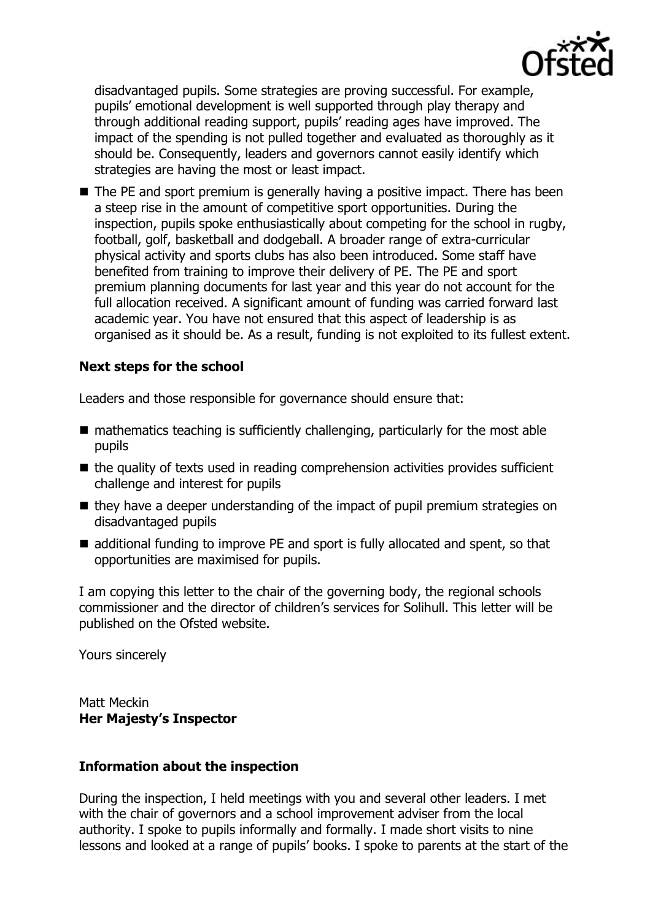

disadvantaged pupils. Some strategies are proving successful. For example, pupils' emotional development is well supported through play therapy and through additional reading support, pupils' reading ages have improved. The impact of the spending is not pulled together and evaluated as thoroughly as it should be. Consequently, leaders and governors cannot easily identify which strategies are having the most or least impact.

■ The PE and sport premium is generally having a positive impact. There has been a steep rise in the amount of competitive sport opportunities. During the inspection, pupils spoke enthusiastically about competing for the school in rugby, football, golf, basketball and dodgeball. A broader range of extra-curricular physical activity and sports clubs has also been introduced. Some staff have benefited from training to improve their delivery of PE. The PE and sport premium planning documents for last year and this year do not account for the full allocation received. A significant amount of funding was carried forward last academic year. You have not ensured that this aspect of leadership is as organised as it should be. As a result, funding is not exploited to its fullest extent.

# **Next steps for the school**

Leaders and those responsible for governance should ensure that:

- $\blacksquare$  mathematics teaching is sufficiently challenging, particularly for the most able pupils
- $\blacksquare$  the quality of texts used in reading comprehension activities provides sufficient challenge and interest for pupils
- $\blacksquare$  they have a deeper understanding of the impact of pupil premium strategies on disadvantaged pupils
- additional funding to improve PE and sport is fully allocated and spent, so that opportunities are maximised for pupils.

I am copying this letter to the chair of the governing body, the regional schools commissioner and the director of children's services for Solihull. This letter will be published on the Ofsted website.

Yours sincerely

Matt Meckin **Her Majesty's Inspector**

#### **Information about the inspection**

During the inspection, I held meetings with you and several other leaders. I met with the chair of governors and a school improvement adviser from the local authority. I spoke to pupils informally and formally. I made short visits to nine lessons and looked at a range of pupils' books. I spoke to parents at the start of the